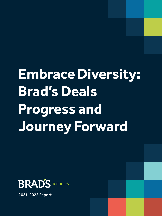# **Embrace Diversity: Brad's Deals Progress and Journey Forward**

2021 Diversity, Equity and Inclusion Report **1**



2021-2022 Report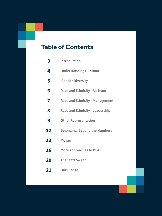# **Table of Contents**

| 3  | <b>Introduction</b>                    |
|----|----------------------------------------|
| 4  | <b>Understanding Our Data</b>          |
| 5  | <b>Gender Diversity</b>                |
| 6  | <b>Race and Ethnicity - All Team</b>   |
| 7  | <b>Race and Ethnicity - Management</b> |
| 8  | <b>Race and Ethnicity - Leadership</b> |
| 9  | <b>Other Representation</b>            |
| 12 | <b>Belonging: Beyond the Numbers</b>   |
| 13 | <b>Mosaic</b>                          |
| 16 | <b>More Approaches to DE&amp;I</b>     |
| 20 | The Stats So Far                       |
| 21 | <b>Our Pledge</b>                      |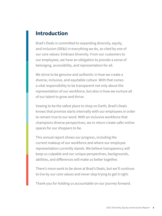### **Introduction**

Brad's Deals is committed to expanding diversity, equity, and inclusion (DE&I) in everything we do, as cited by one of our core values: Embrace Diversity. From our customers to our employees, we have an obligation to provide a sense of belonging, accessibility, and representation for all.

We strive to be genuine and authentic in how we create a diverse, inclusive, and equitable culture. With that comes a vital responsibility to be transparent not only about the representation of our workforce, but also in how we nurture all of our talent to grow and thrive.

Vowing to be the safest place to shop on Earth, Brad's Deals knows that promise starts internally with our employees in order to remain true to our word. With an inclusive workforce that champions diverse perspectives, we in return create safer online spaces for our shoppers to be.

This annual report shows our progress, including the current makeup of our workforce and where our employee representation currently stands. We believe transparency will keep us culpable and our unique perspectives, backgrounds, abilities, and differences will make us better together.

There's more work to be done at Brad's Deals, but we'll continue to live by our core values and never stop trying to get it right.

Thank you for holding us accountable on our journey forward.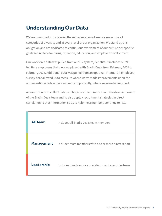## **Understanding Our Data**

We're committed to increasing the representation of employees across all categories of diversity and at every level of our organization. We stand by this obligation and are dedicated to continuous evolvement of our culture per specific goals set in place for hiring, retention, education, and employee development.

Our workforce data was pulled from our HR system, Zenefits. It includes our 95 full time employees that were employed with Brad's Deals from February 2021 to February 2022. Additional data was pulled from an optional, internal all-employee survey, that allowed us to measure where we've made improvements upon the aforementioned objectives and more importantly, where we were falling short.

As we continue to collect data, our hope is to learn more about the diverse makeup of the Brad's Deals team and to also deploy recruitment strategies in direct correlation to that information so as to help these numbers continue to rise.

| <b>All Team</b>   | Includes all Brad's Deals team members                  |
|-------------------|---------------------------------------------------------|
| <b>Management</b> | Includes team members with one or more direct report    |
| <b>Leadership</b> | Includes directors, vice presidents, and executive team |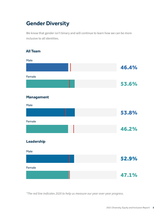# **Gender Diversity**

We know that gender isn't binary and will continue to learn how we can be more inclusive to all identities.

### **All Team**

| Male              |       |  |
|-------------------|-------|--|
|                   | 46.4% |  |
| Female            |       |  |
|                   | 53.6% |  |
| <b>Management</b> |       |  |
| Male              |       |  |
|                   | 53.8% |  |
| Female            |       |  |
|                   | 46.2% |  |
| Leadership        |       |  |
| Male              |       |  |
|                   | 52.9% |  |
| Female            |       |  |
|                   | 47.1% |  |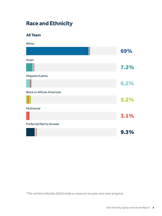# **Race and Ethnicity**

**All Team**

**White** 

|                                  | 69%  |
|----------------------------------|------|
| Asian                            |      |
|                                  | 7.2% |
| Hispanic/Latinx                  |      |
|                                  | 6.2% |
| <b>Black or African American</b> |      |
|                                  | 5.2% |
| <b>Multiracial</b>               |      |
|                                  | 3.1% |
| <b>Preferred Not to Answer</b>   |      |
|                                  | 9.3% |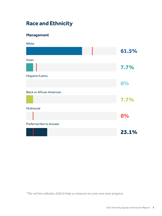# **Race and Ethnicity**

### **Management**

**White** 

| 61.5% |
|-------|
|       |
| 7.7%  |
|       |
| 0%    |
|       |
| 7.7%  |
|       |
| 0%    |
|       |
| 23.1% |
|       |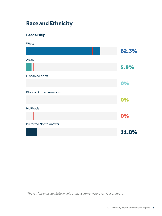# **Race and Ethnicity**

### **Leadership**

**White** 

| 82.3% |
|-------|
|       |
| 5.9%  |
|       |
| 0%    |
|       |
| 0%    |
|       |
| 0%    |
|       |
| 11.8% |
|       |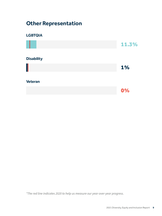# **Other Representation**

### **LGBTQIA**

|                   | 11.3% |
|-------------------|-------|
| <b>Disability</b> |       |
|                   | 1%    |
| <b>Veteran</b>    |       |
|                   | 0%    |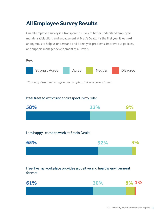# **All Employee Survey Results**

Our all-employee survey is a transparent survey to better understand employee morale, satisfaction, and engagement at Brad's Deals. It's the first year it was not anonymous to help us understand and directly fix problems, improve our policies, and support manager development at all levels.



### I feel treated with trust and respect in my role:



### I am happy I came to work at Brad's Deals:



I feel like my workplace provides a positive and healthy environment for me:

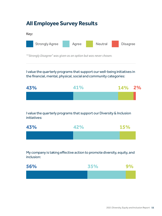# **All Employee Survey Results**

#### Key:



*\*"Strongly Disagree" was given as an option but was never chosen.*

I value the quarterly programs that support our well-being initiatives in the financial, mental, physical, social and community categories:



I value the quarterly programs that support our Diversity & Inclusion initiatives:



My company is taking effective action to promote diversity, equity, and inclusion:

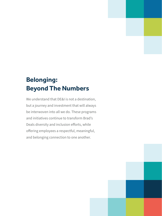# **Belonging: Beyond The Numbers**

We understand that DE&I is not a destination, but a journey and investment that will always be interwoven into all we do. These programs and initiatives continue to transform Brad's Deals diversity and inclusion efforts, while offering employees a respectful, meaningful, and belonging connection to one another.

2021 Diversity, Equity and Inclusion Report **12**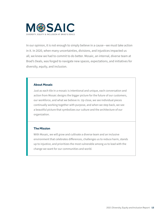

In our opinion, it is not enough to simply believe in a cause—we must take action in it. In 2020, when many uncertainties, divisions, and injustices impacted us all, we knew we had to commit to do better. Mosaic, an internal, diverse team at Brad's Deals, was forged to navigate new spaces, expectations, and initiatives for diversity, equity, and inclusion.

#### **About Mosaic**

Just as each tile in a mosaic is intentional and unique, each conversation and action from Mosaic designs the bigger picture for the future of our customers, our workforce, and what we believe in. Up close, we see individual pieces continually working together with purpose, and when we step back, we see a beautiful picture that symbolizes our culture and the architecture of our organization.

#### **The Mission**

With Mosaic, we will grow and cultivate a diverse team and an inclusive environment that celebrates differences, challenges us to reduce harm, stands up to injustice, and prioritizes the most vulnerable among us to lead with the change we want for our communities and world.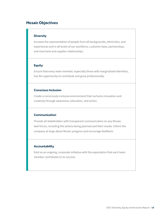### **Mosaic Objectives**

#### **Diversity**

Increase the representation of people from all backgrounds, ethnicities, and experiences and in all levels of our workforce, customer base, partnerships, and merchant and supplier relationships.

#### **Equity**

Ensure that every team member, especially those with marginalized identities, has the opportunity to contribute and grow professionally.

#### **Conscious Inclusion**

Create a consciously inclusive environment that nurtures innovation and creativity through awareness, education, and action.

#### **Communication**

Provide all stakeholders with transparent communication on any Mosaic task forces, including the actions being planned and their results. Inform the company at large about Mosaic progress and encourage feedback.

#### **Accountability**

Exist as an ongoing, corporate initiative with the expectation that each team member contributes to its success.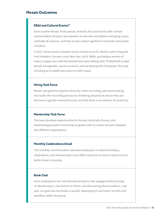### **Mosaic Outcomes**

#### **DE&I and Cultural Events\***

Every quarter Mosaic hosts special, diversity-focused events with a broad representation of topics and speakers to educate and address emerging issues, celebrate all cultures, and help us learn about significant moments and people in history.

In 2021, these events included: lunch and learns on Dr. Martin Luther King and Fred Hampton, Korean Lunar New Year, Ida B. Wells, and badass women of history; happy hour with Reclaimed Soul; wine tasting with TK Mehlhaff (a deaf, female transgender, cancer survivor); and tea tasting with Chinatown Tea Lady including an in-depth discussion on AAPI issues.

#### **Hiring Task Force**

Mosaic sets goals for pipeline diversity, intern recruiting, job board posting, and audits the recruiting process by reviewing job posts to ensure they are feminine or gender-neutral focused, and that there is no instance of racial bias.

#### **Mentorship Task Force**

The team develops opportunities for female, ethnically diverse, and disadvantaged youth mentorship programs with 11 events last year between two different organizations.

#### **Monthly Celebrations Email**

This monthly communication educates employees on diverse holidays, celebrations, and relevant topics and offers resources on how to learn more to better foster inclusivity.

#### **Book Club**

Gives employees a fun and educational way to stay engaged while focusing on diverse topics, non-fiction or fiction, and discovering diverse authors. Last year, our goal was two books a quarter depending on our busier months and workflow within the group.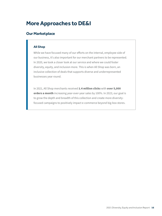## **More Approaches to DE&I**

### **Our Marketplace**

#### **All Shop**

While we have focused many of our efforts on the internal, employee side of our business, it's also important for our merchant partners to be represented. In 2020, we took a closer look at our service and where we could foster diversity, equity, and inclusion more. This is when All Shop was born, an inclusive collection of deals that supports diverse and underrepresented businesses year round.

In 2021, All Shop merchants received 1.4 million clicks with over 5,000 orders a month increasing year-over-year sales by 100%. In 2023, our goal is to grow the depth and breadth of this collection and create more diversityfocused campaigns to positively impact e-commerce beyond big-box stores.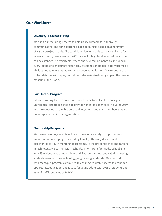### **Our Workforce**

#### **Diversity-Focused Hiring**

We audit our recruiting process to hold us accountable for a thorough, communicative, and fair experience. Each opening is posted on a minimum of 2-3 diverse job boards. The candidate pipeline needs to be 50% diverse for intern and entry level roles and 40% diverse for high level roles before an offer can be extended. A diversity statement and ADA requirements are included in every job post to encourage historically excluded candidates, plus welcome all abilities and talents that may not meet every qualification. As we continue to collect data, we will deploy recruitment strategies to directly impact the diverse makeup of the Brad's.

#### **Paid-Intern Program**

Intern recruiting focuses on opportunities for historically Black colleges, universities, and trade schools to provide hands-on experience in our industry and introduce us to valuable perspectives, talent, and team members that are underrepresented in our organization.

#### **Mentorship Programs**

We have an employee-led task force to develop a variety of opportunities important to our employees including female, ethnically diverse, and disadvantaged youth mentorship programs. To inspire confidence and careers in technology, we partner with TechGirlz, a non-profit for middle school girls with 65% identifying as non-white, and Flatiron, a school dedicated to helping students learn and love technology, engineering, and code. We also work with Year Up, a program committed to ensuring equitable access to economic opportunity, education, and justice for young adults with 90% of students and 59% of staff identifying as BIPOC.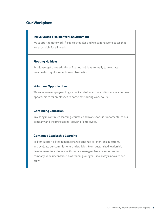### **Our Workplace**

#### **Inclusive and Flexible Work Environment**

We support remote work, flexible schedules and welcoming workspaces that are accessible for all needs.

#### **Floating Holidays**

Employees get three additional floating holidays annually to celebrate meaningful days for reflection or observation.

#### **Volunteer Opportunities**

We encourage employees to give back and offer virtual and in-person volunteer opportunities for employees to participate during work hours.

#### **Continuing Education**

Investing in continued learning, courses, and workshops is fundamental to our company and the professional growth of employees.

#### **Continued Leadership Learning**

To best support all team members, we continue to listen, ask questions, and evaluate our commitments and policies. From customized leadership development to address specific topics managers feel are important to company-wide unconscious bias training, our goal is to always innovate and grow.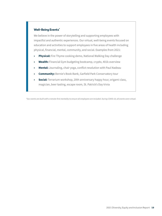#### **Well-Being Events\***

We believe in the power of storytelling and supporting employees with impactful and authentic experiences. Our virtual, well-being events focused on education and activities to support employees in five areas of health including physical, financial, mental, community, and social. Examples from 2021:

- **• Physical:** Fire Thyme cooking demo, National Walking Day challenge
- **• Wealth:** Financial Gym budgeting bootcamp, crypto, 401k overview
- **• Mental:** Journaling, chair yoga, conflict resolution with Paul Nadeau
- **• Community:** Bernie's Book Bank, Garfield Park Conservatory tour
- **• Social:** Terrarium workshop, 20th anniversary happy hour, origami class, magician, beer tasting, escape room, St. Patrick's Day trivia

*\*Our events are built with a remote-first mentality to ensure all employees are included. During COVID-19, all events were virtual.*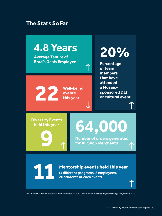### **The Stats So Far**



*\*An up arrow indicates positive change compared to 2020. A down arrow indicates negative change compared to 2020.*